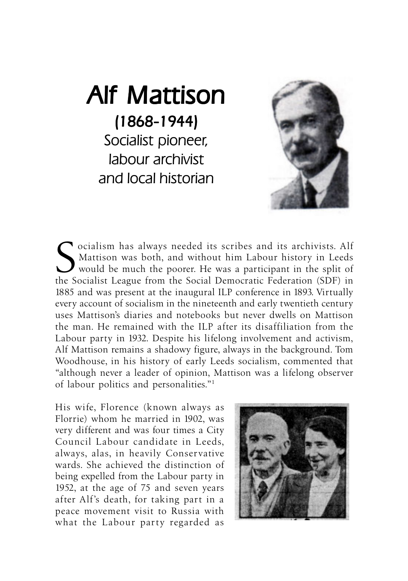## Alf Mattison (1868-1944) (1868-1944) Socialist pioneer, labour archivist and local historian



Socialism has always needed its scribes and its archivists. Alf Mattison was both, and without him Labour history in Leeds would be much the poorer. He was a participant in the split of the Socialist League from the Social Mattison was both, and without him Labour history in Leeds  $\boldsymbol{J}$  would be much the poorer. He was a participant in the split of the Socialist League from the Social Democratic Federation (SDF) in 1885 and was present at the inaugural ILP conference in 1893. Virtually every account of socialism in the nineteenth and early twentieth century uses Mattison's diaries and notebooks but never dwells on Mattison the man. He remained with the ILP after its disaffiliation from the Labour party in 1932. Despite his lifelong involvement and activism, Alf Mattison remains a shadowy figure, always in the background. Tom Woodhouse, in his history of early Leeds socialism, commented that "although never a leader of opinion, Mattison was a lifelong observer of labour politics and personalities."1

His wife, Florence (known always as Florrie) whom he married in 1902, was very different and was four times a City Council Labour candidate in Leeds, always, alas, in heavily Conservative wards. She achieved the distinction of being expelled from the Labour party in 1952, at the age of 75 and seven years after Alf's death, for taking part in a peace movement visit to Russia with what the Labour party regarded as

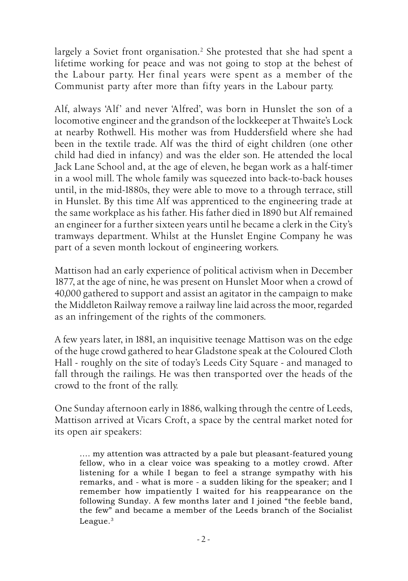largely a Soviet front organisation.<sup>2</sup> She protested that she had spent a lifetime working for peace and was not going to stop at the behest of the Labour party. Her final years were spent as a member of the Communist party after more than fifty years in the Labour party.

Alf, always 'Alf' and never 'Alfred', was born in Hunslet the son of a locomotive engineer and the grandson of the lockkeeper at Thwaite's Lock at nearby Rothwell. His mother was from Huddersfield where she had been in the textile trade. Alf was the third of eight children (one other child had died in infancy) and was the elder son. He attended the local Jack Lane School and, at the age of eleven, he began work as a half-timer in a wool mill. The whole family was squeezed into back-to-back houses until, in the mid-1880s, they were able to move to a through terrace, still in Hunslet. By this time Alf was apprenticed to the engineering trade at the same workplace as his father. His father died in 1890 but Alf remained an engineer for a further sixteen years until he became a clerk in the City's tramways department. Whilst at the Hunslet Engine Company he was part of a seven month lockout of engineering workers.

Mattison had an early experience of political activism when in December 1877, at the age of nine, he was present on Hunslet Moor when a crowd of 40,000 gathered to support and assist an agitator in the campaign to make the Middleton Railway remove a railway line laid across the moor, regarded as an infringement of the rights of the commoners.

A few years later, in 1881, an inquisitive teenage Mattison was on the edge of the huge crowd gathered to hear Gladstone speak at the Coloured Cloth Hall - roughly on the site of today's Leeds City Square - and managed to fall through the railings. He was then transported over the heads of the crowd to the front of the rally.

One Sunday afternoon early in 1886, walking through the centre of Leeds, Mattison arrived at Vicars Croft, a space by the central market noted for its open air speakers:

.... my attention was attracted by a pale but pleasant-featured young fellow, who in a clear voice was speaking to a motley crowd. After listening for a while I began to feel a strange sympathy with his remarks, and - what is more - a sudden liking for the speaker; and I remember how impatiently I waited for his reappearance on the following Sunday. A few months later and I joined "the feeble band, the few" and became a member of the Leeds branch of the Socialist League.<sup>3</sup>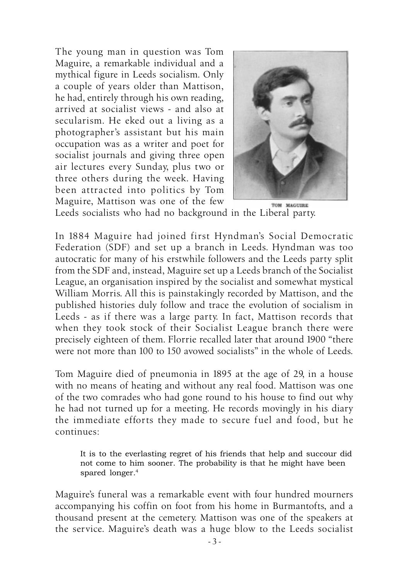The young man in question was Tom Maguire, a remarkable individual and a mythical figure in Leeds socialism. Only a couple of years older than Mattison, he had, entirely through his own reading, arrived at socialist views - and also at secularism. He eked out a living as a photographer's assistant but his main occupation was as a writer and poet for socialist journals and giving three open air lectures every Sunday, plus two or three others during the week. Having been attracted into politics by Tom Maguire, Mattison was one of the few



Leeds socialists who had no background in the Liberal party.

In 1884 Maguire had joined first Hyndman's Social Democratic Federation (SDF) and set up a branch in Leeds. Hyndman was too autocratic for many of his erstwhile followers and the Leeds party split from the SDF and, instead, Maguire set up a Leeds branch of the Socialist League, an organisation inspired by the socialist and somewhat mystical William Morris. All this is painstakingly recorded by Mattison, and the published histories duly follow and trace the evolution of socialism in Leeds - as if there was a large party. In fact, Mattison records that when they took stock of their Socialist League branch there were precisely eighteen of them. Florrie recalled later that around 1900 "there were not more than 100 to 150 avowed socialists" in the whole of Leeds.

Tom Maguire died of pneumonia in 1895 at the age of 29, in a house with no means of heating and without any real food. Mattison was one of the two comrades who had gone round to his house to find out why he had not turned up for a meeting. He records movingly in his diary the immediate efforts they made to secure fuel and food, but he continues:

It is to the everlasting regret of his friends that help and succour did not come to him sooner. The probability is that he might have been spared longer.<sup>4</sup>

Maguire's funeral was a remarkable event with four hundred mourners accompanying his coffin on foot from his home in Burmantofts, and a thousand present at the cemetery. Mattison was one of the speakers at the service. Maguire's death was a huge blow to the Leeds socialist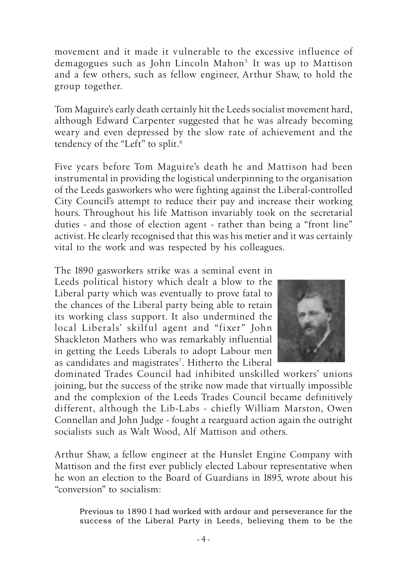movement and it made it vulnerable to the excessive influence of demagogues such as John Lincoln Mahon<sup>5.</sup> It was up to Mattison and a few others, such as fellow engineer, Arthur Shaw, to hold the group together.

Tom Maguire's early death certainly hit the Leeds socialist movement hard, although Edward Carpenter suggested that he was already becoming weary and even depressed by the slow rate of achievement and the tendency of the "Left" to split.<sup>6</sup>

Five years before Tom Maguire's death he and Mattison had been instrumental in providing the logistical underpinning to the organisation of the Leeds gasworkers who were fighting against the Liberal-controlled City Council's attempt to reduce their pay and increase their working hours. Throughout his life Mattison invariably took on the secretarial duties - and those of election agent - rather than being a "front line" activist. He clearly recognised that this was his metier and it was certainly vital to the work and was respected by his colleagues.

The 1890 gasworkers strike was a seminal event in Leeds political history which dealt a blow to the Liberal party which was eventually to prove fatal to

the chances of the Liberal party being able to retain its working class support. It also undermined the local Liberals' skilful agent and "fixer" John Shackleton Mathers who was remarkably influential in getting the Leeds Liberals to adopt Labour men as candidates and magistrates<sup>7</sup>. Hitherto the Liberal



dominated Trades Council had inhibited unskilled workers' unions joining, but the success of the strike now made that virtually impossible and the complexion of the Leeds Trades Council became definitively different, although the Lib-Labs - chiefly William Marston, Owen Connellan and John Judge - fought a rearguard action again the outright socialists such as Walt Wood, Alf Mattison and others.

Arthur Shaw, a fellow engineer at the Hunslet Engine Company with Mattison and the first ever publicly elected Labour representative when he won an election to the Board of Guardians in 1895, wrote about his "conversion" to socialism:

Previous to 1890 I had worked with ardour and perseverance for the success of the Liberal Party in Leeds, believing them to be the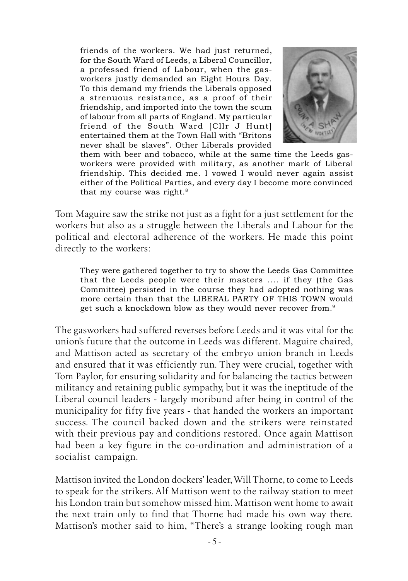friends of the workers. We had just returned, for the South Ward of Leeds, a Liberal Councillor, a professed friend of Labour, when the gasworkers justly demanded an Eight Hours Day. To this demand my friends the Liberals opposed a strenuous resistance, as a proof of their friendship, and imported into the town the scum of labour from all parts of England. My particular friend of the South Ward [Cllr J Hunt] entertained them at the Town Hall with "Britons never shall be slaves". Other Liberals provided



them with beer and tobacco, while at the same time the Leeds gasworkers were provided with military, as another mark of Liberal friendship. This decided me. I vowed I would never again assist either of the Political Parties, and every day I become more convinced that my course was right. $8$ 

Tom Maguire saw the strike not just as a fight for a just settlement for the workers but also as a struggle between the Liberals and Labour for the political and electoral adherence of the workers. He made this point directly to the workers:

They were gathered together to try to show the Leeds Gas Committee that the Leeds people were their masters .... if they (the Gas Committee) persisted in the course they had adopted nothing was more certain than that the LIBERAL PARTY OF THIS TOWN would get such a knockdown blow as they would never recover from.<sup>9</sup>

The gasworkers had suffered reverses before Leeds and it was vital for the union's future that the outcome in Leeds was different. Maguire chaired, and Mattison acted as secretary of the embryo union branch in Leeds and ensured that it was efficiently run. They were crucial, together with Tom Paylor, for ensuring solidarity and for balancing the tactics between militancy and retaining public sympathy, but it was the ineptitude of the Liberal council leaders - largely moribund after being in control of the municipality for fifty five years - that handed the workers an important success. The council backed down and the strikers were reinstated with their previous pay and conditions restored. Once again Mattison had been a key figure in the co-ordination and administration of a socialist campaign.

Mattison invited the London dockers' leader, Will Thorne, to come to Leeds to speak for the strikers. Alf Mattison went to the railway station to meet his London train but somehow missed him. Mattison went home to await the next train only to find that Thorne had made his own way there. Mattison's mother said to him, "There's a strange looking rough man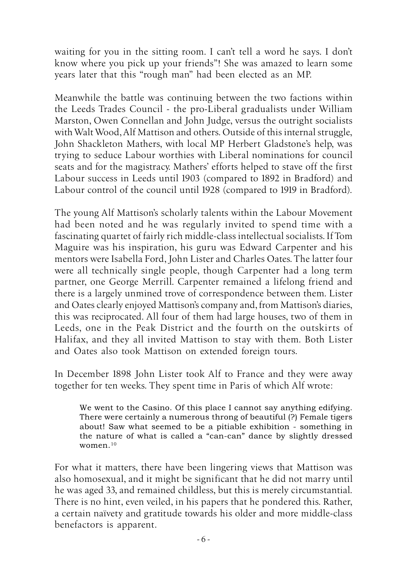waiting for you in the sitting room. I can't tell a word he says. I don't know where you pick up your friends"! She was amazed to learn some years later that this "rough man" had been elected as an MP.

Meanwhile the battle was continuing between the two factions within the Leeds Trades Council - the pro-Liberal gradualists under William Marston, Owen Connellan and John Judge, versus the outright socialists with Walt Wood, Alf Mattison and others. Outside of this internal struggle, John Shackleton Mathers, with local MP Herbert Gladstone's help, was trying to seduce Labour worthies with Liberal nominations for council seats and for the magistracy. Mathers' efforts helped to stave off the first Labour success in Leeds until 1903 (compared to 1892 in Bradford) and Labour control of the council until 1928 (compared to 1919 in Bradford).

The young Alf Mattison's scholarly talents within the Labour Movement had been noted and he was regularly invited to spend time with a fascinating quartet of fairly rich middle-class intellectual socialists. If Tom Maguire was his inspiration, his guru was Edward Carpenter and his mentors were Isabella Ford, John Lister and Charles Oates. The latter four were all technically single people, though Carpenter had a long term partner, one George Merrill. Carpenter remained a lifelong friend and there is a largely unmined trove of correspondence between them. Lister and Oates clearly enjoyed Mattison's company and, from Mattison's diaries, this was reciprocated. All four of them had large houses, two of them in Leeds, one in the Peak District and the fourth on the outskirts of Halifax, and they all invited Mattison to stay with them. Both Lister and Oates also took Mattison on extended foreign tours.

In December 1898 John Lister took Alf to France and they were away together for ten weeks. They spent time in Paris of which Alf wrote:

We went to the Casino. Of this place I cannot say anything edifying. There were certainly a numerous throng of beautiful (?) Female tigers about! Saw what seemed to be a pitiable exhibition - something in the nature of what is called a "can-can" dance by slightly dressed women.<sup>10</sup>

For what it matters, there have been lingering views that Mattison was also homosexual, and it might be significant that he did not marry until he was aged 33, and remained childless, but this is merely circumstantial. There is no hint, even veiled, in his papers that he pondered this. Rather, a certain naïvety and gratitude towards his older and more middle-class benefactors is apparent.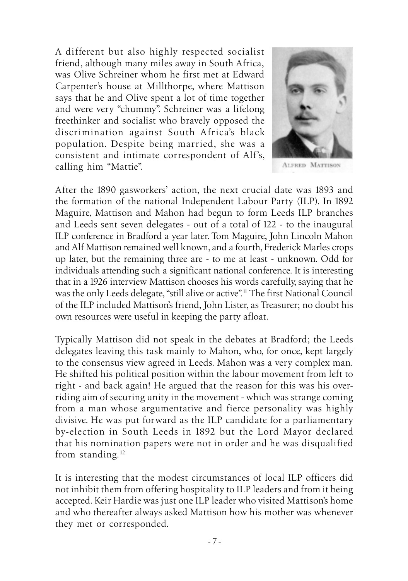A different but also highly respected socialist friend, although many miles away in South Africa, was Olive Schreiner whom he first met at Edward Carpenter's house at Millthorpe, where Mattison says that he and Olive spent a lot of time together and were very "chummy". Schreiner was a lifelong freethinker and socialist who bravely opposed the discrimination against South Africa's black population. Despite being married, she was a consistent and intimate correspondent of Alf's, calling him "Mattie".



**ALFRED MATTISON** 

After the 1890 gasworkers' action, the next crucial date was 1893 and the formation of the national Independent Labour Party (ILP). In 1892 Maguire, Mattison and Mahon had begun to form Leeds ILP branches and Leeds sent seven delegates - out of a total of 122 - to the inaugural ILP conference in Bradford a year later. Tom Maguire, John Lincoln Mahon and Alf Mattison remained well known, and a fourth, Frederick Marles crops up later, but the remaining three are - to me at least - unknown. Odd for individuals attending such a significant national conference. It is interesting that in a 1926 interview Mattison chooses his words carefully, saying that he was the only Leeds delegate, "still alive or active".<sup>11</sup> The first National Council of the ILP included Mattison's friend, John Lister, as Treasurer; no doubt his own resources were useful in keeping the party afloat.

Typically Mattison did not speak in the debates at Bradford; the Leeds delegates leaving this task mainly to Mahon, who, for once, kept largely to the consensus view agreed in Leeds. Mahon was a very complex man. He shifted his political position within the labour movement from left to right - and back again! He argued that the reason for this was his overriding aim of securing unity in the movement - which was strange coming from a man whose argumentative and fierce personality was highly divisive. He was put forward as the ILP candidate for a parliamentary by-election in South Leeds in 1892 but the Lord Mayor declared that his nomination papers were not in order and he was disqualified from standing.<sup>12</sup>

It is interesting that the modest circumstances of local ILP officers did not inhibit them from offering hospitality to ILP leaders and from it being accepted. Keir Hardie was just one ILP leader who visited Mattison's home and who thereafter always asked Mattison how his mother was whenever they met or corresponded.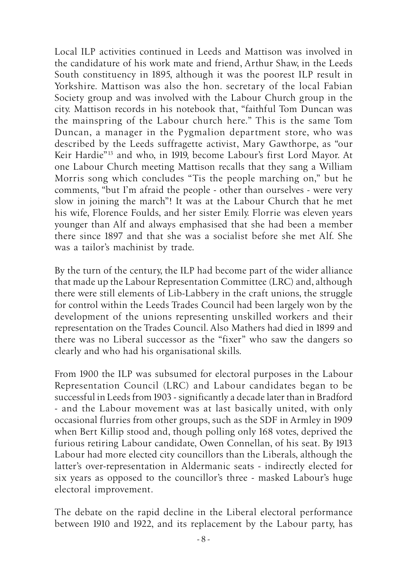Local ILP activities continued in Leeds and Mattison was involved in the candidature of his work mate and friend, Arthur Shaw, in the Leeds South constituency in 1895, although it was the poorest ILP result in Yorkshire. Mattison was also the hon. secretary of the local Fabian Society group and was involved with the Labour Church group in the city. Mattison records in his notebook that, "faithful Tom Duncan was the mainspring of the Labour church here." This is the same Tom Duncan, a manager in the Pygmalion department store, who was described by the Leeds suffragette activist, Mary Gawthorpe, as "our Keir Hardie"<sup>13</sup> and who, in 1919, become Labour's first Lord Mayor. At one Labour Church meeting Mattison recalls that they sang a William Morris song which concludes "Tis the people marching on," but he comments, "but I'm afraid the people - other than ourselves - were very slow in joining the march"! It was at the Labour Church that he met his wife, Florence Foulds, and her sister Emily. Florrie was eleven years younger than Alf and always emphasised that she had been a member there since 1897 and that she was a socialist before she met Alf. She was a tailor's machinist by trade.

By the turn of the century, the ILP had become part of the wider alliance that made up the Labour Representation Committee (LRC) and, although there were still elements of Lib-Labbery in the craft unions, the struggle for control within the Leeds Trades Council had been largely won by the development of the unions representing unskilled workers and their representation on the Trades Council. Also Mathers had died in 1899 and there was no Liberal successor as the "fixer" who saw the dangers so clearly and who had his organisational skills.

From 1900 the ILP was subsumed for electoral purposes in the Labour Representation Council (LRC) and Labour candidates began to be successful in Leeds from 1903 - significantly a decade later than in Bradford - and the Labour movement was at last basically united, with only occasional flurries from other groups, such as the SDF in Armley in 1909 when Bert Killip stood and, though polling only 168 votes, deprived the furious retiring Labour candidate, Owen Connellan, of his seat. By 1913 Labour had more elected city councillors than the Liberals, although the latter's over-representation in Aldermanic seats - indirectly elected for six years as opposed to the councillor's three - masked Labour's huge electoral improvement.

The debate on the rapid decline in the Liberal electoral performance between 1910 and 1922, and its replacement by the Labour party, has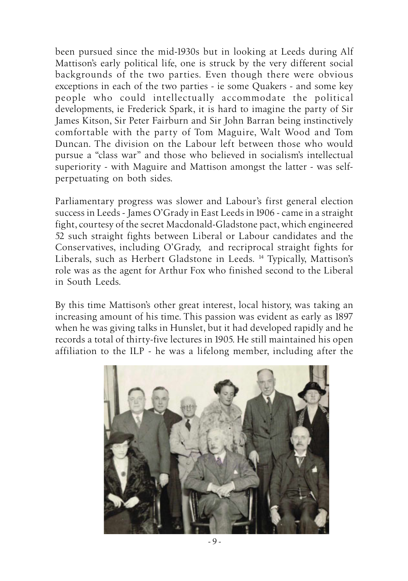been pursued since the mid-1930s but in looking at Leeds during Alf Mattison's early political life, one is struck by the very different social backgrounds of the two parties. Even though there were obvious exceptions in each of the two parties - ie some Quakers - and some key people who could intellectually accommodate the political developments, ie Frederick Spark, it is hard to imagine the party of Sir James Kitson, Sir Peter Fairburn and Sir John Barran being instinctively comfortable with the party of Tom Maguire, Walt Wood and Tom Duncan. The division on the Labour left between those who would pursue a "class war" and those who believed in socialism's intellectual superiority - with Maguire and Mattison amongst the latter - was selfperpetuating on both sides.

Parliamentary progress was slower and Labour's first general election success in Leeds - James O'Grady in East Leeds in 1906 - came in a straight fight, courtesy of the secret Macdonald-Gladstone pact, which engineered 52 such straight fights between Liberal or Labour candidates and the Conservatives, including O'Grady, and recriprocal straight fights for Liberals, such as Herbert Gladstone in Leeds. <sup>14</sup> Typically, Mattison's role was as the agent for Arthur Fox who finished second to the Liberal in South Leeds.

By this time Mattison's other great interest, local history, was taking an increasing amount of his time. This passion was evident as early as 1897 when he was giving talks in Hunslet, but it had developed rapidly and he records a total of thirty-five lectures in 1905. He still maintained his open affiliation to the ILP - he was a lifelong member, including after the

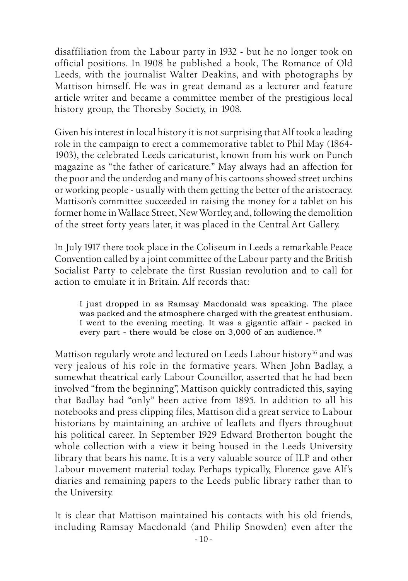disaffiliation from the Labour party in 1932 - but he no longer took on official positions. In 1908 he published a book, The Romance of Old Leeds, with the journalist Walter Deakins, and with photographs by Mattison himself. He was in great demand as a lecturer and feature article writer and became a committee member of the prestigious local history group, the Thoresby Society, in 1908.

Given his interest in local history it is not surprising that Alf took a leading role in the campaign to erect a commemorative tablet to Phil May (1864- 1903), the celebrated Leeds caricaturist, known from his work on Punch magazine as "the father of caricature." May always had an affection for the poor and the underdog and many of his cartoons showed street urchins or working people - usually with them getting the better of the aristocracy. Mattison's committee succeeded in raising the money for a tablet on his former home in Wallace Street, New Wortley, and, following the demolition of the street forty years later, it was placed in the Central Art Gallery.

In July 1917 there took place in the Coliseum in Leeds a remarkable Peace Convention called by a joint committee of the Labour party and the British Socialist Party to celebrate the first Russian revolution and to call for action to emulate it in Britain. Alf records that:

I just dropped in as Ramsay Macdonald was speaking. The place was packed and the atmosphere charged with the greatest enthusiam. I went to the evening meeting. It was a gigantic affair - packed in every part - there would be close on 3,000 of an audience.<sup>15</sup>

Mattison regularly wrote and lectured on Leeds Labour history<sup>16</sup> and was very jealous of his role in the formative years. When John Badlay, a somewhat theatrical early Labour Councillor, asserted that he had been involved "from the beginning", Mattison quickly contradicted this, saying that Badlay had "only" been active from 1895. In addition to all his notebooks and press clipping files, Mattison did a great service to Labour historians by maintaining an archive of leaflets and flyers throughout his political career. In September 1929 Edward Brotherton bought the whole collection with a view it being housed in the Leeds University library that bears his name. It is a very valuable source of ILP and other Labour movement material today. Perhaps typically, Florence gave Alf's diaries and remaining papers to the Leeds public library rather than to the University.

It is clear that Mattison maintained his contacts with his old friends, including Ramsay Macdonald (and Philip Snowden) even after the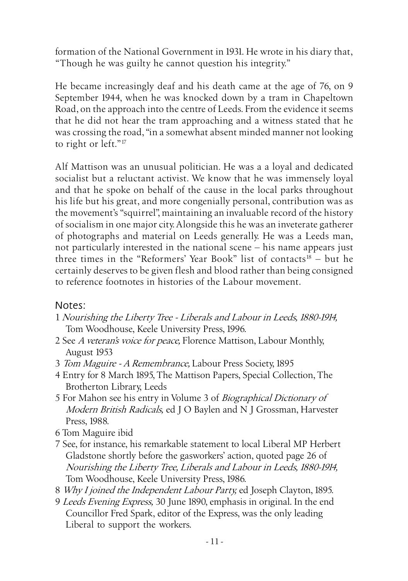formation of the National Government in 1931. He wrote in his diary that, "Though he was guilty he cannot question his integrity."

He became increasingly deaf and his death came at the age of 76, on 9 September 1944, when he was knocked down by a tram in Chapeltown Road, on the approach into the centre of Leeds. From the evidence it seems that he did not hear the tram approaching and a witness stated that he was crossing the road, "in a somewhat absent minded manner not looking to right or left."<sup>17</sup>

Alf Mattison was an unusual politician. He was a a loyal and dedicated socialist but a reluctant activist. We know that he was immensely loyal and that he spoke on behalf of the cause in the local parks throughout his life but his great, and more congenially personal, contribution was as the movement's "squirrel", maintaining an invaluable record of the history of socialism in one major city. Alongside this he was an inveterate gatherer of photographs and material on Leeds generally. He was a Leeds man, not particularly interested in the national scene – his name appears just three times in the "Reformers' Year Book" list of contacts<sup>18</sup> – but he certainly deserves to be given flesh and blood rather than being consigned to reference footnotes in histories of the Labour movement.

## Notes:

- 1 Nourishing the Liberty Tree Liberals and Labour in Leeds, 1880-1914, Tom Woodhouse, Keele University Press, 1996.
- 2 See A veteran's voice for peace, Florence Mattison, Labour Monthly, August 1953
- 3 Tom Maguire A Remembrance, Labour Press Society, 1895
- 4 Entry for 8 March 1895, The Mattison Papers, Special Collection, The Brotherton Library, Leeds
- 5 For Mahon see his entry in Volume 3 of Biographical Dictionary of Modern British Radicals, ed J O Baylen and N J Grossman, Harvester Press, 1988.
- 6 Tom Maguire ibid
- 7 See, for instance, his remarkable statement to local Liberal MP Herbert Gladstone shortly before the gasworkers' action, quoted page 26 of Nourishing the Liberty Tree, Liberals and Labour in Leeds, 1880-1914, Tom Woodhouse, Keele University Press, 1986.
- 8 Why I joined the Independent Labour Party, ed Joseph Clayton, 1895.
- 9 Leeds Evening Express, 30 June 1890, emphasis in original. In the end Councillor Fred Spark, editor of the Express, was the only leading Liberal to support the workers.